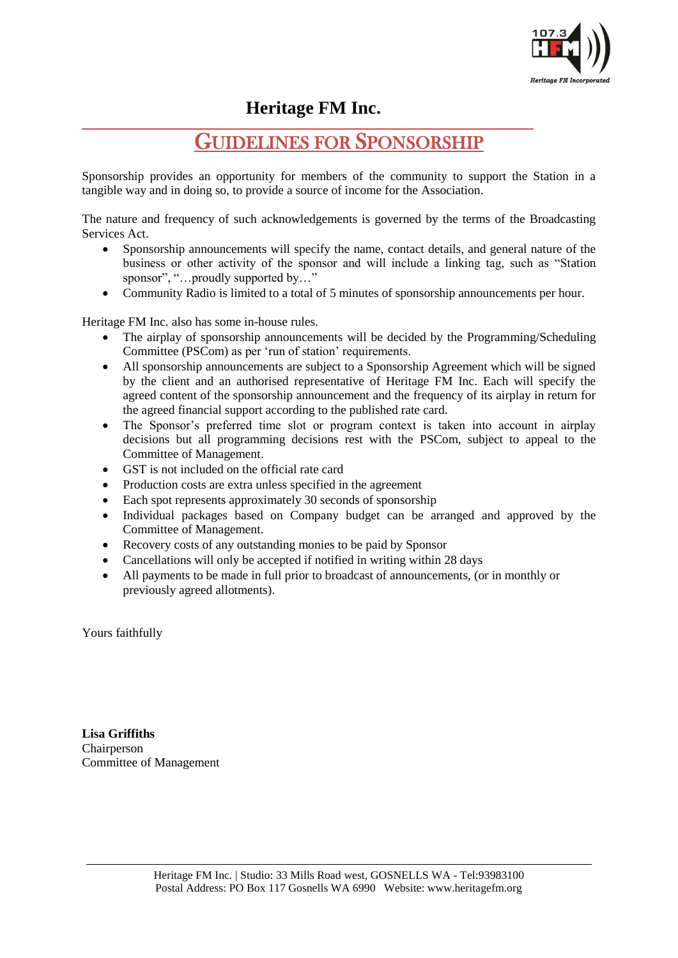

**Heritage FM Inc.**

# GUIDELINES FOR SPONSORSHIP

Sponsorship provides an opportunity for members of the community to support the Station in a tangible way and in doing so, to provide a source of income for the Association.

The nature and frequency of such acknowledgements is governed by the terms of the Broadcasting Services Act.

- Sponsorship announcements will specify the name, contact details, and general nature of the business or other activity of the sponsor and will include a linking tag, such as "Station sponsor", "... proudly supported by..."
- Community Radio is limited to a total of 5 minutes of sponsorship announcements per hour.

Heritage FM Inc. also has some in-house rules.

- The airplay of sponsorship announcements will be decided by the Programming/Scheduling Committee (PSCom) as per 'run of station' requirements.
- All sponsorship announcements are subject to a Sponsorship Agreement which will be signed by the client and an authorised representative of Heritage FM Inc. Each will specify the agreed content of the sponsorship announcement and the frequency of its airplay in return for the agreed financial support according to the published rate card.
- The Sponsor's preferred time slot or program context is taken into account in airplay decisions but all programming decisions rest with the PSCom, subject to appeal to the Committee of Management.
- GST is not included on the official rate card
- Production costs are extra unless specified in the agreement
- Each spot represents approximately 30 seconds of sponsorship
- Individual packages based on Company budget can be arranged and approved by the Committee of Management.
- Recovery costs of any outstanding monies to be paid by Sponsor
- Cancellations will only be accepted if notified in writing within 28 days
- All payments to be made in full prior to broadcast of announcements, (or in monthly or previously agreed allotments).

Yours faithfully

 $\overline{a}$ 

**Lisa Griffiths** Chairperson Committee of Management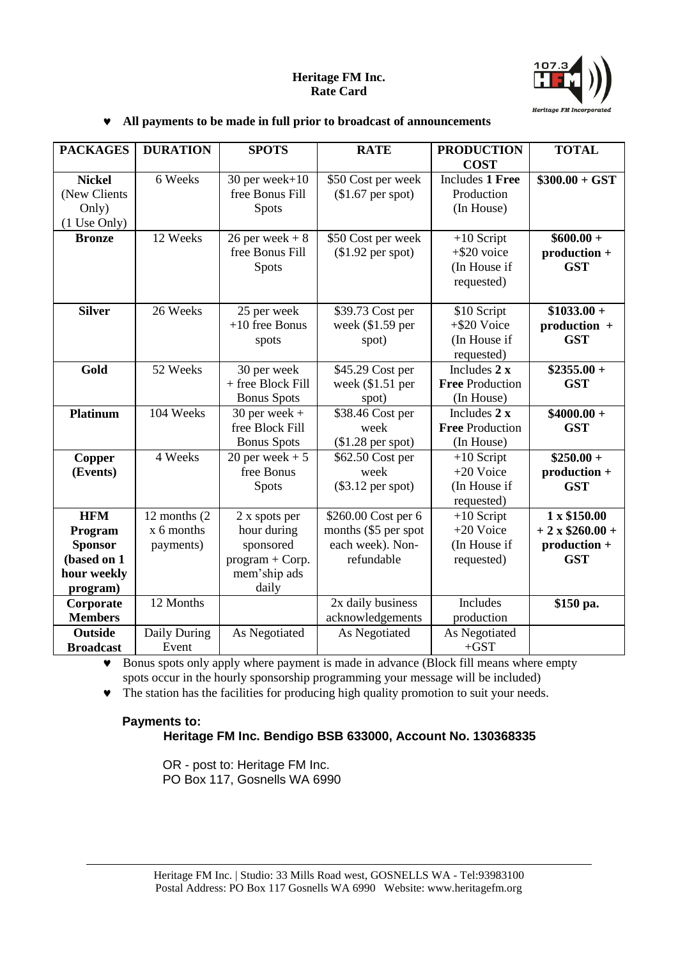## **Heritage FM Inc. Rate Card**



#### **All payments to be made in full prior to broadcast of announcements**

| <b>PACKAGES</b>                                                                   | <b>DURATION</b>                            | <b>SPOTS</b>                                                                            | <b>RATE</b>                                                                   | <b>PRODUCTION</b>                                            | <b>TOTAL</b>                                                        |
|-----------------------------------------------------------------------------------|--------------------------------------------|-----------------------------------------------------------------------------------------|-------------------------------------------------------------------------------|--------------------------------------------------------------|---------------------------------------------------------------------|
|                                                                                   |                                            |                                                                                         |                                                                               | <b>COST</b>                                                  |                                                                     |
| <b>Nickel</b><br>(New Clients<br>Only)                                            | 6 Weeks                                    | 30 per week+10<br>free Bonus Fill<br><b>Spots</b>                                       | \$50 Cost per week<br>$($1.67$ per spot)                                      | <b>Includes 1 Free</b><br>Production<br>(In House)           | $$300.00 + GST$                                                     |
| (1 Use Only)<br><b>Bronze</b>                                                     | 12 Weeks                                   | $26$ per week + $8$<br>free Bonus Fill<br><b>Spots</b>                                  | \$50 Cost per week<br>$($1.92$ per spot)                                      | $+10$ Script<br>$+$ \$20 voice<br>(In House if<br>requested) | $$600.00 +$<br>production +<br><b>GST</b>                           |
| <b>Silver</b>                                                                     | 26 Weeks                                   | 25 per week<br>$+10$ free Bonus<br>spots                                                | \$39.73 Cost per<br>week $(\$1.59$ per<br>spot)                               | \$10 Script<br>$+$ \$20 Voice<br>(In House if<br>requested)  | $$1033.00 +$<br>production +<br><b>GST</b>                          |
| Gold                                                                              | 52 Weeks                                   | 30 per week<br>+ free Block Fill<br><b>Bonus Spots</b>                                  | \$45.29 Cost per<br>week $($1.51$ per<br>spot)                                | Includes $2x$<br><b>Free Production</b><br>(In House)        | $$2355.00 +$<br><b>GST</b>                                          |
| <b>Platinum</b>                                                                   | 104 Weeks                                  | $30$ per week +<br>free Block Fill<br><b>Bonus</b> Spots                                | \$38.46 Cost per<br>week<br>$($1.28$ per spot)                                | Includes 2 x<br><b>Free Production</b><br>(In House)         | $$4000.00 +$<br><b>GST</b>                                          |
| <b>Copper</b><br>(Events)                                                         | 4 Weeks                                    | 20 per week $+5$<br>free Bonus<br>Spots                                                 | \$62.50 Cost per<br>week<br>$(\$3.12$ per spot)                               | $+10$ Script<br>+20 Voice<br>(In House if<br>requested)      | $$250.00 +$<br>production +<br><b>GST</b>                           |
| <b>HFM</b><br>Program<br><b>Sponsor</b><br>(based on 1<br>hour weekly<br>program) | 12 months (2)<br>$x$ 6 months<br>payments) | 2 x spots per<br>hour during<br>sponsored<br>$program + Corp.$<br>mem'ship ads<br>daily | \$260.00 Cost per 6<br>months (\$5 per spot<br>each week). Non-<br>refundable | $+10$ Script<br>+20 Voice<br>(In House if<br>requested)      | 1 x \$150.00<br>$+2 \times $260.00 +$<br>production +<br><b>GST</b> |
| Corporate<br><b>Members</b>                                                       | 12 Months                                  |                                                                                         | 2x daily business<br>acknowledgements                                         | Includes<br>production                                       | \$150 pa.                                                           |
| <b>Outside</b><br><b>Broadcast</b>                                                | Daily During<br>Event                      | As Negotiated                                                                           | As Negotiated                                                                 | As Negotiated<br>$+GST$                                      |                                                                     |

 Bonus spots only apply where payment is made in advance (Block fill means where empty spots occur in the hourly sponsorship programming your message will be included)

 $\bullet$  The station has the facilities for producing high quality promotion to suit your needs.

### **Payments to: Heritage FM Inc. Bendigo BSB 633000, Account No. 130368335**

OR - post to: Heritage FM Inc. PO Box 117, Gosnells WA 6990